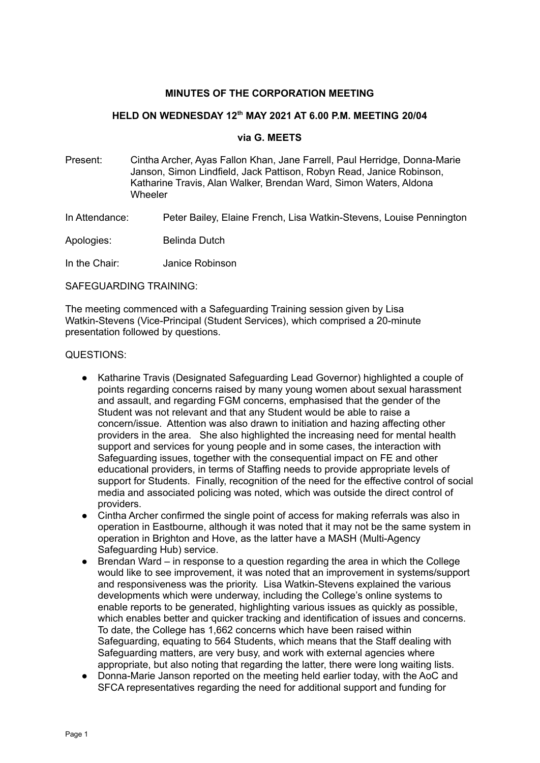#### **MINUTES OF THE CORPORATION MEETING**

#### **HELD ON WEDNESDAY 12 th MAY 2021 AT 6.00 P.M. MEETING 20/04**

#### **via G. MEETS**

Present: Cintha Archer, Ayas Fallon Khan, Jane Farrell, Paul Herridge, Donna-Marie Janson, Simon Lindfield, Jack Pattison, Robyn Read, Janice Robinson, Katharine Travis, Alan Walker, Brendan Ward, Simon Waters, Aldona **Wheeler** 

In Attendance: Peter Bailey, Elaine French, Lisa Watkin-Stevens, Louise Pennington

Apologies: Belinda Dutch

In the Chair: Janice Robinson

SAFEGUARDING TRAINING:

The meeting commenced with a Safeguarding Training session given by Lisa Watkin-Stevens (Vice-Principal (Student Services), which comprised a 20-minute presentation followed by questions.

QUESTIONS:

- Katharine Travis (Designated Safeguarding Lead Governor) highlighted a couple of points regarding concerns raised by many young women about sexual harassment and assault, and regarding FGM concerns, emphasised that the gender of the Student was not relevant and that any Student would be able to raise a concern/issue. Attention was also drawn to initiation and hazing affecting other providers in the area. She also highlighted the increasing need for mental health support and services for young people and in some cases, the interaction with Safeguarding issues, together with the consequential impact on FE and other educational providers, in terms of Staffing needs to provide appropriate levels of support for Students. Finally, recognition of the need for the effective control of social media and associated policing was noted, which was outside the direct control of providers.
- Cintha Archer confirmed the single point of access for making referrals was also in operation in Eastbourne, although it was noted that it may not be the same system in operation in Brighton and Hove, as the latter have a MASH (Multi-Agency Safeguarding Hub) service.
- Brendan Ward in response to a question regarding the area in which the College would like to see improvement, it was noted that an improvement in systems/support and responsiveness was the priority. Lisa Watkin-Stevens explained the various developments which were underway, including the College's online systems to enable reports to be generated, highlighting various issues as quickly as possible, which enables better and quicker tracking and identification of issues and concerns. To date, the College has 1,662 concerns which have been raised within Safeguarding, equating to 564 Students, which means that the Staff dealing with Safeguarding matters, are very busy, and work with external agencies where appropriate, but also noting that regarding the latter, there were long waiting lists.
- Donna-Marie Janson reported on the meeting held earlier today, with the AoC and SFCA representatives regarding the need for additional support and funding for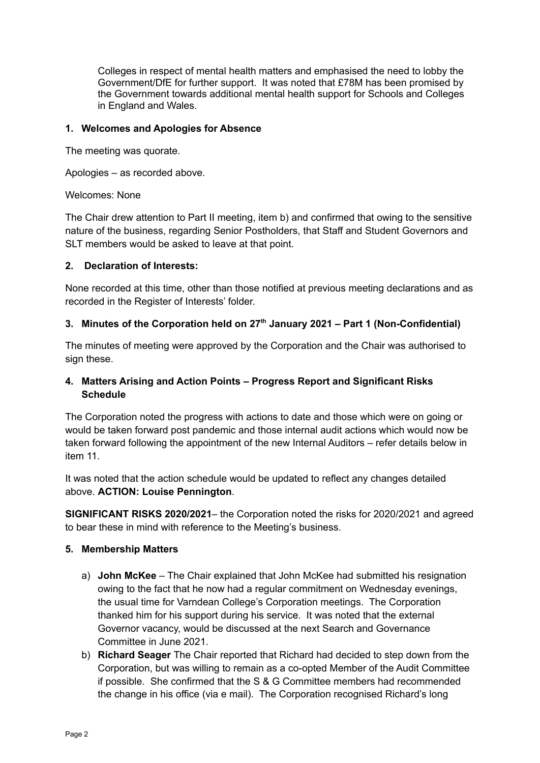Colleges in respect of mental health matters and emphasised the need to lobby the Government/DfE for further support. It was noted that £78M has been promised by the Government towards additional mental health support for Schools and Colleges in England and Wales.

#### **1. Welcomes and Apologies for Absence**

The meeting was quorate.

Apologies – as recorded above.

Welcomes: None

The Chair drew attention to Part II meeting, item b) and confirmed that owing to the sensitive nature of the business, regarding Senior Postholders, that Staff and Student Governors and SLT members would be asked to leave at that point.

### **2. Declaration of Interests:**

None recorded at this time, other than those notified at previous meeting declarations and as recorded in the Register of Interests' folder.

# **3. Minutes of the Corporation held on 27 th January 2021 – Part 1 (Non-Confidential)**

The minutes of meeting were approved by the Corporation and the Chair was authorised to sign these.

# **4. Matters Arising and Action Points – Progress Report and Significant Risks Schedule**

The Corporation noted the progress with actions to date and those which were on going or would be taken forward post pandemic and those internal audit actions which would now be taken forward following the appointment of the new Internal Auditors – refer details below in item 11.

It was noted that the action schedule would be updated to reflect any changes detailed above. **ACTION: Louise Pennington**.

**SIGNIFICANT RISKS 2020/2021**– the Corporation noted the risks for 2020/2021 and agreed to bear these in mind with reference to the Meeting's business.

# **5. Membership Matters**

- a) **John McKee** The Chair explained that John McKee had submitted his resignation owing to the fact that he now had a regular commitment on Wednesday evenings, the usual time for Varndean College's Corporation meetings. The Corporation thanked him for his support during his service. It was noted that the external Governor vacancy, would be discussed at the next Search and Governance Committee in June 2021.
- b) **Richard Seager** The Chair reported that Richard had decided to step down from the Corporation, but was willing to remain as a co-opted Member of the Audit Committee if possible. She confirmed that the S & G Committee members had recommended the change in his office (via e mail). The Corporation recognised Richard's long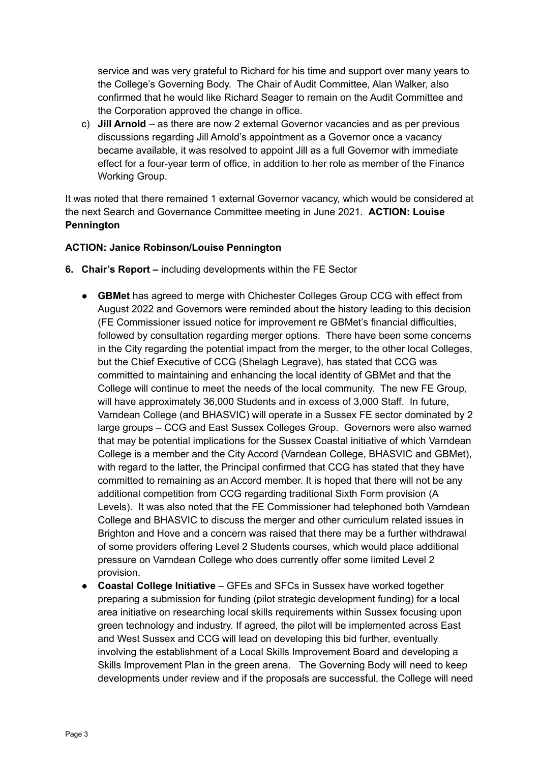service and was very grateful to Richard for his time and support over many years to the College's Governing Body. The Chair of Audit Committee, Alan Walker, also confirmed that he would like Richard Seager to remain on the Audit Committee and the Corporation approved the change in office.

c) **Jill Arnold** – as there are now 2 external Governor vacancies and as per previous discussions regarding Jill Arnold's appointment as a Governor once a vacancy became available, it was resolved to appoint Jill as a full Governor with immediate effect for a four-year term of office, in addition to her role as member of the Finance Working Group.

It was noted that there remained 1 external Governor vacancy, which would be considered at the next Search and Governance Committee meeting in June 2021. **ACTION: Louise Pennington**

### **ACTION: Janice Robinson/Louise Pennington**

- **6. Chair's Report –** including developments within the FE Sector
	- **GBMet** has agreed to merge with Chichester Colleges Group CCG with effect from August 2022 and Governors were reminded about the history leading to this decision (FE Commissioner issued notice for improvement re GBMet's financial difficulties, followed by consultation regarding merger options. There have been some concerns in the City regarding the potential impact from the merger, to the other local Colleges, but the Chief Executive of CCG (Shelagh Legrave), has stated that CCG was committed to maintaining and enhancing the local identity of GBMet and that the College will continue to meet the needs of the local community. The new FE Group, will have approximately 36,000 Students and in excess of 3,000 Staff. In future, Varndean College (and BHASVIC) will operate in a Sussex FE sector dominated by 2 large groups – CCG and East Sussex Colleges Group. Governors were also warned that may be potential implications for the Sussex Coastal initiative of which Varndean College is a member and the City Accord (Varndean College, BHASVIC and GBMet), with regard to the latter, the Principal confirmed that CCG has stated that they have committed to remaining as an Accord member. It is hoped that there will not be any additional competition from CCG regarding traditional Sixth Form provision (A Levels). It was also noted that the FE Commissioner had telephoned both Varndean College and BHASVIC to discuss the merger and other curriculum related issues in Brighton and Hove and a concern was raised that there may be a further withdrawal of some providers offering Level 2 Students courses, which would place additional pressure on Varndean College who does currently offer some limited Level 2 provision.
	- **Coastal College Initiative** GFEs and SFCs in Sussex have worked together preparing a submission for funding (pilot strategic development funding) for a local area initiative on researching local skills requirements within Sussex focusing upon green technology and industry. If agreed, the pilot will be implemented across East and West Sussex and CCG will lead on developing this bid further, eventually involving the establishment of a Local Skills Improvement Board and developing a Skills Improvement Plan in the green arena. The Governing Body will need to keep developments under review and if the proposals are successful, the College will need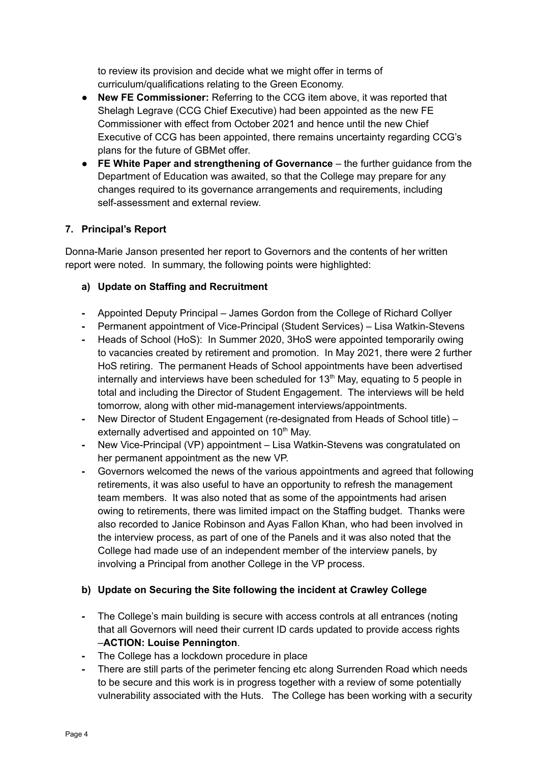to review its provision and decide what we might offer in terms of curriculum/qualifications relating to the Green Economy.

- **New FE Commissioner:** Referring to the CCG item above, it was reported that Shelagh Legrave (CCG Chief Executive) had been appointed as the new FE Commissioner with effect from October 2021 and hence until the new Chief Executive of CCG has been appointed, there remains uncertainty regarding CCG's plans for the future of GBMet offer.
- **FE White Paper and strengthening of Governance** the further guidance from the Department of Education was awaited, so that the College may prepare for any changes required to its governance arrangements and requirements, including self-assessment and external review.

# **7. Principal's Report**

Donna-Marie Janson presented her report to Governors and the contents of her written report were noted. In summary, the following points were highlighted:

# **a) Update on Staffing and Recruitment**

- **-** Appointed Deputy Principal James Gordon from the College of Richard Collyer
- **-** Permanent appointment of Vice-Principal (Student Services) Lisa Watkin-Stevens
- **-** Heads of School (HoS): In Summer 2020, 3HoS were appointed temporarily owing to vacancies created by retirement and promotion. In May 2021, there were 2 further HoS retiring. The permanent Heads of School appointments have been advertised internally and interviews have been scheduled for  $13<sup>th</sup>$  May, equating to 5 people in total and including the Director of Student Engagement. The interviews will be held tomorrow, along with other mid-management interviews/appointments.
- **-** New Director of Student Engagement (re-designated from Heads of School title) externally advertised and appointed on 10<sup>th</sup> May.
- **-** New Vice-Principal (VP) appointment Lisa Watkin-Stevens was congratulated on her permanent appointment as the new VP.
- **-** Governors welcomed the news of the various appointments and agreed that following retirements, it was also useful to have an opportunity to refresh the management team members. It was also noted that as some of the appointments had arisen owing to retirements, there was limited impact on the Staffing budget. Thanks were also recorded to Janice Robinson and Ayas Fallon Khan, who had been involved in the interview process, as part of one of the Panels and it was also noted that the College had made use of an independent member of the interview panels, by involving a Principal from another College in the VP process.

# **b) Update on Securing the Site following the incident at Crawley College**

- **-** The College's main building is secure with access controls at all entrances (noting that all Governors will need their current ID cards updated to provide access rights –**ACTION: Louise Pennington**.
- **-** The College has a lockdown procedure in place
- **-** There are still parts of the perimeter fencing etc along Surrenden Road which needs to be secure and this work is in progress together with a review of some potentially vulnerability associated with the Huts. The College has been working with a security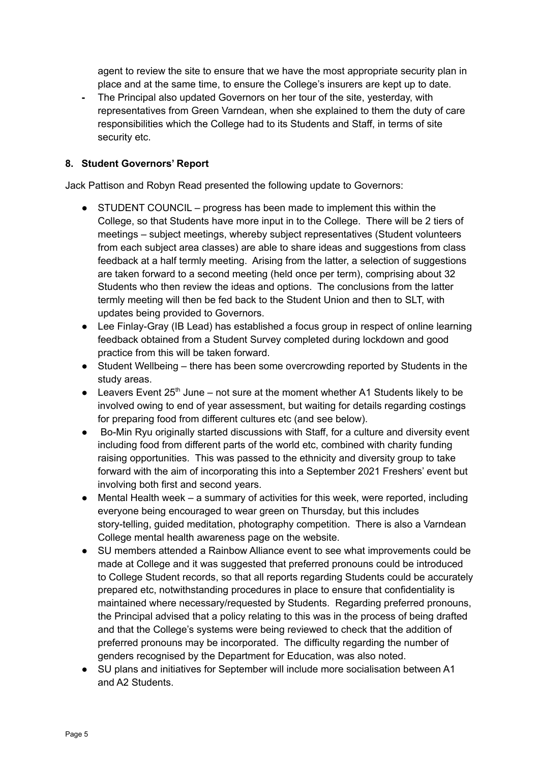agent to review the site to ensure that we have the most appropriate security plan in place and at the same time, to ensure the College's insurers are kept up to date.

**-** The Principal also updated Governors on her tour of the site, yesterday, with representatives from Green Varndean, when she explained to them the duty of care responsibilities which the College had to its Students and Staff, in terms of site security etc.

### **8. Student Governors' Report**

Jack Pattison and Robyn Read presented the following update to Governors:

- **●** STUDENT COUNCIL progress has been made to implement this within the College, so that Students have more input in to the College. There will be 2 tiers of meetings – subject meetings, whereby subject representatives (Student volunteers from each subject area classes) are able to share ideas and suggestions from class feedback at a half termly meeting. Arising from the latter, a selection of suggestions are taken forward to a second meeting (held once per term), comprising about 32 Students who then review the ideas and options. The conclusions from the latter termly meeting will then be fed back to the Student Union and then to SLT, with updates being provided to Governors.
- **●** Lee Finlay-Gray (IB Lead) has established a focus group in respect of online learning feedback obtained from a Student Survey completed during lockdown and good practice from this will be taken forward.
- **●** Student Wellbeing there has been some overcrowding reported by Students in the study areas.
- Leavers Event 25<sup>th</sup> June not sure at the moment whether A1 Students likely to be involved owing to end of year assessment, but waiting for details regarding costings for preparing food from different cultures etc (and see below).
- **●** Bo-Min Ryu originally started discussions with Staff, for a culture and diversity event including food from different parts of the world etc, combined with charity funding raising opportunities. This was passed to the ethnicity and diversity group to take forward with the aim of incorporating this into a September 2021 Freshers' event but involving both first and second years.
- **●** Mental Health week a summary of activities for this week, were reported, including everyone being encouraged to wear green on Thursday, but this includes story-telling, guided meditation, photography competition. There is also a Varndean College mental health awareness page on the website.
- **●** SU members attended a Rainbow Alliance event to see what improvements could be made at College and it was suggested that preferred pronouns could be introduced to College Student records, so that all reports regarding Students could be accurately prepared etc, notwithstanding procedures in place to ensure that confidentiality is maintained where necessary/requested by Students. Regarding preferred pronouns, the Principal advised that a policy relating to this was in the process of being drafted and that the College's systems were being reviewed to check that the addition of preferred pronouns may be incorporated. The difficulty regarding the number of genders recognised by the Department for Education, was also noted.
- **●** SU plans and initiatives for September will include more socialisation between A1 and A2 Students.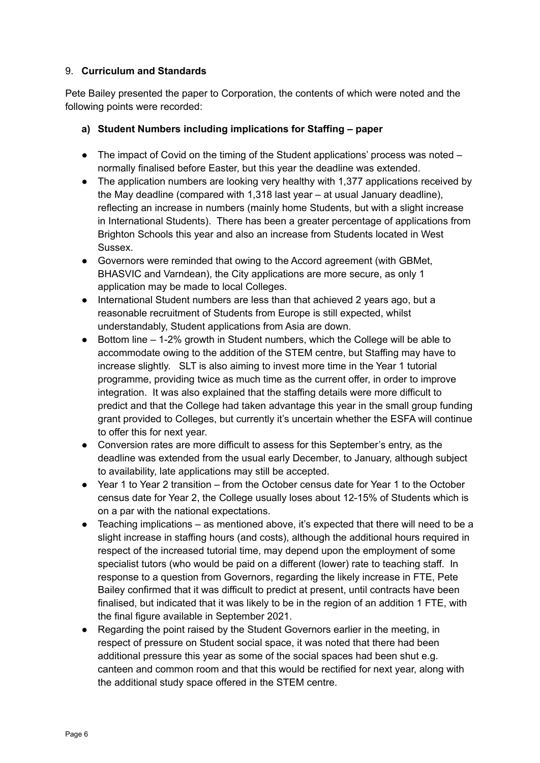### 9. **Curriculum and Standards**

Pete Bailey presented the paper to Corporation, the contents of which were noted and the following points were recorded:

## **a) Student Numbers including implications for Staffing – paper**

- $\bullet$  The impact of Covid on the timing of the Student applications' process was noted  $$ normally finalised before Easter, but this year the deadline was extended.
- The application numbers are looking very healthy with 1,377 applications received by the May deadline (compared with 1,318 last year – at usual January deadline), reflecting an increase in numbers (mainly home Students, but with a slight increase in International Students). There has been a greater percentage of applications from Brighton Schools this year and also an increase from Students located in West Sussex.
- Governors were reminded that owing to the Accord agreement (with GBMet, BHASVIC and Varndean), the City applications are more secure, as only 1 application may be made to local Colleges.
- International Student numbers are less than that achieved 2 years ago, but a reasonable recruitment of Students from Europe is still expected, whilst understandably, Student applications from Asia are down.
- Bottom line 1-2% growth in Student numbers, which the College will be able to accommodate owing to the addition of the STEM centre, but Staffing may have to increase slightly. SLT is also aiming to invest more time in the Year 1 tutorial programme, providing twice as much time as the current offer, in order to improve integration. It was also explained that the staffing details were more difficult to predict and that the College had taken advantage this year in the small group funding grant provided to Colleges, but currently it's uncertain whether the ESFA will continue to offer this for next year.
- Conversion rates are more difficult to assess for this September's entry, as the deadline was extended from the usual early December, to January, although subject to availability, late applications may still be accepted.
- Year 1 to Year 2 transition from the October census date for Year 1 to the October census date for Year 2, the College usually loses about 12-15% of Students which is on a par with the national expectations.
- Teaching implications as mentioned above, it's expected that there will need to be a slight increase in staffing hours (and costs), although the additional hours required in respect of the increased tutorial time, may depend upon the employment of some specialist tutors (who would be paid on a different (lower) rate to teaching staff. In response to a question from Governors, regarding the likely increase in FTE, Pete Bailey confirmed that it was difficult to predict at present, until contracts have been finalised, but indicated that it was likely to be in the region of an addition 1 FTE, with the final figure available in September 2021.
- Regarding the point raised by the Student Governors earlier in the meeting, in respect of pressure on Student social space, it was noted that there had been additional pressure this year as some of the social spaces had been shut e.g. canteen and common room and that this would be rectified for next year, along with the additional study space offered in the STEM centre.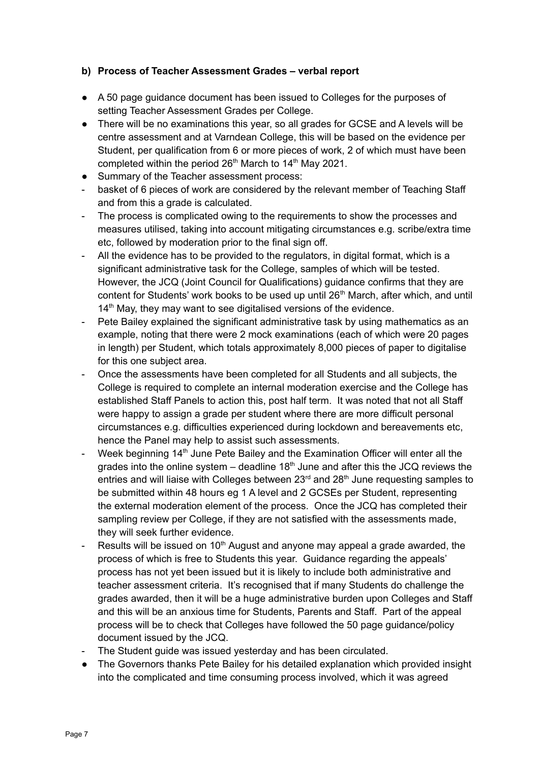## **b) Process of Teacher Assessment Grades – verbal report**

- A 50 page guidance document has been issued to Colleges for the purposes of setting Teacher Assessment Grades per College.
- There will be no examinations this year, so all grades for GCSE and A levels will be centre assessment and at Varndean College, this will be based on the evidence per Student, per qualification from 6 or more pieces of work, 2 of which must have been completed within the period  $26<sup>th</sup>$  March to 14<sup>th</sup> May 2021.
- Summary of the Teacher assessment process:
- basket of 6 pieces of work are considered by the relevant member of Teaching Staff and from this a grade is calculated.
- The process is complicated owing to the requirements to show the processes and measures utilised, taking into account mitigating circumstances e.g. scribe/extra time etc, followed by moderation prior to the final sign off.
- All the evidence has to be provided to the regulators, in digital format, which is a significant administrative task for the College, samples of which will be tested. However, the JCQ (Joint Council for Qualifications) guidance confirms that they are content for Students' work books to be used up until 26<sup>th</sup> March, after which, and until 14<sup>th</sup> May, they may want to see digitalised versions of the evidence.
- Pete Bailey explained the significant administrative task by using mathematics as an example, noting that there were 2 mock examinations (each of which were 20 pages in length) per Student, which totals approximately 8,000 pieces of paper to digitalise for this one subject area.
- Once the assessments have been completed for all Students and all subjects, the College is required to complete an internal moderation exercise and the College has established Staff Panels to action this, post half term. It was noted that not all Staff were happy to assign a grade per student where there are more difficult personal circumstances e.g. difficulties experienced during lockdown and bereavements etc, hence the Panel may help to assist such assessments.
- Week beginning 14<sup>th</sup> June Pete Bailey and the Examination Officer will enter all the grades into the online system – deadline 18<sup>th</sup> June and after this the JCQ reviews the entries and will liaise with Colleges between 23<sup>rd</sup> and 28<sup>th</sup> June requesting samples to be submitted within 48 hours eg 1 A level and 2 GCSEs per Student, representing the external moderation element of the process. Once the JCQ has completed their sampling review per College, if they are not satisfied with the assessments made, they will seek further evidence.
- Results will be issued on  $10<sup>th</sup>$  August and anyone may appeal a grade awarded, the process of which is free to Students this year. Guidance regarding the appeals' process has not yet been issued but it is likely to include both administrative and teacher assessment criteria. It's recognised that if many Students do challenge the grades awarded, then it will be a huge administrative burden upon Colleges and Staff and this will be an anxious time for Students, Parents and Staff. Part of the appeal process will be to check that Colleges have followed the 50 page guidance/policy document issued by the JCQ.
- The Student guide was issued vesterday and has been circulated.
- The Governors thanks Pete Bailey for his detailed explanation which provided insight into the complicated and time consuming process involved, which it was agreed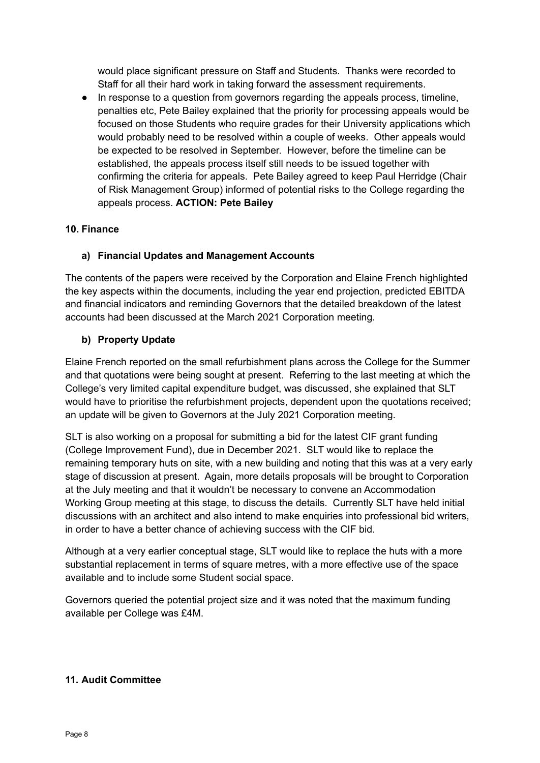would place significant pressure on Staff and Students. Thanks were recorded to Staff for all their hard work in taking forward the assessment requirements.

● In response to a question from governors regarding the appeals process, timeline, penalties etc, Pete Bailey explained that the priority for processing appeals would be focused on those Students who require grades for their University applications which would probably need to be resolved within a couple of weeks. Other appeals would be expected to be resolved in September. However, before the timeline can be established, the appeals process itself still needs to be issued together with confirming the criteria for appeals. Pete Bailey agreed to keep Paul Herridge (Chair of Risk Management Group) informed of potential risks to the College regarding the appeals process. **ACTION: Pete Bailey**

# **10. Finance**

# **a) Financial Updates and Management Accounts**

The contents of the papers were received by the Corporation and Elaine French highlighted the key aspects within the documents, including the year end projection, predicted EBITDA and financial indicators and reminding Governors that the detailed breakdown of the latest accounts had been discussed at the March 2021 Corporation meeting.

# **b) Property Update**

Elaine French reported on the small refurbishment plans across the College for the Summer and that quotations were being sought at present. Referring to the last meeting at which the College's very limited capital expenditure budget, was discussed, she explained that SLT would have to prioritise the refurbishment projects, dependent upon the quotations received; an update will be given to Governors at the July 2021 Corporation meeting.

SLT is also working on a proposal for submitting a bid for the latest CIF grant funding (College Improvement Fund), due in December 2021. SLT would like to replace the remaining temporary huts on site, with a new building and noting that this was at a very early stage of discussion at present. Again, more details proposals will be brought to Corporation at the July meeting and that it wouldn't be necessary to convene an Accommodation Working Group meeting at this stage, to discuss the details. Currently SLT have held initial discussions with an architect and also intend to make enquiries into professional bid writers, in order to have a better chance of achieving success with the CIF bid.

Although at a very earlier conceptual stage, SLT would like to replace the huts with a more substantial replacement in terms of square metres, with a more effective use of the space available and to include some Student social space.

Governors queried the potential project size and it was noted that the maximum funding available per College was £4M.

# **11. Audit Committee**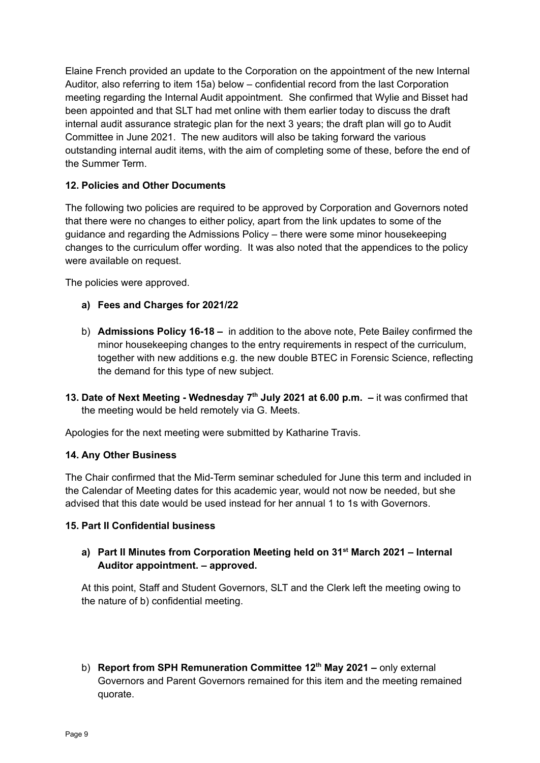Elaine French provided an update to the Corporation on the appointment of the new Internal Auditor, also referring to item 15a) below – confidential record from the last Corporation meeting regarding the Internal Audit appointment. She confirmed that Wylie and Bisset had been appointed and that SLT had met online with them earlier today to discuss the draft internal audit assurance strategic plan for the next 3 years; the draft plan will go to Audit Committee in June 2021. The new auditors will also be taking forward the various outstanding internal audit items, with the aim of completing some of these, before the end of the Summer Term.

## **12. Policies and Other Documents**

The following two policies are required to be approved by Corporation and Governors noted that there were no changes to either policy, apart from the link updates to some of the guidance and regarding the Admissions Policy – there were some minor housekeeping changes to the curriculum offer wording. It was also noted that the appendices to the policy were available on request.

The policies were approved.

- **a) Fees and Charges for 2021/22**
- b) **Admissions Policy 16-18 –** in addition to the above note, Pete Bailey confirmed the minor housekeeping changes to the entry requirements in respect of the curriculum, together with new additions e.g. the new double BTEC in Forensic Science, reflecting the demand for this type of new subject.
- **13. Date of Next Meeting - Wednesday 7 th July 2021 at 6.00 p.m. –** it was confirmed that the meeting would be held remotely via G. Meets.

Apologies for the next meeting were submitted by Katharine Travis.

#### **14. Any Other Business**

The Chair confirmed that the Mid-Term seminar scheduled for June this term and included in the Calendar of Meeting dates for this academic year, would not now be needed, but she advised that this date would be used instead for her annual 1 to 1s with Governors.

#### **15. Part II Confidential business**

**a) Part II Minutes from Corporation Meeting held on 31 st March 2021 – Internal Auditor appointment. – approved.**

At this point, Staff and Student Governors, SLT and the Clerk left the meeting owing to the nature of b) confidential meeting.

b) **Report from SPH Remuneration Committee 12 th May 2021 –** only external Governors and Parent Governors remained for this item and the meeting remained quorate.